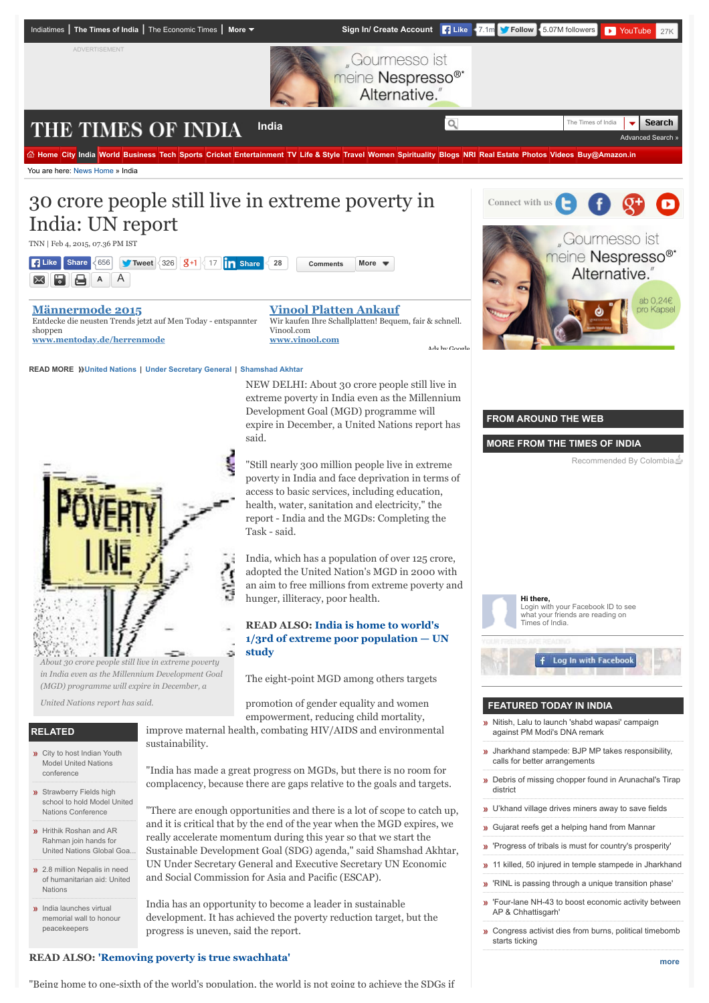

"Being home to one-sixth of the world's population, the world is not going to achieve the SDGs if